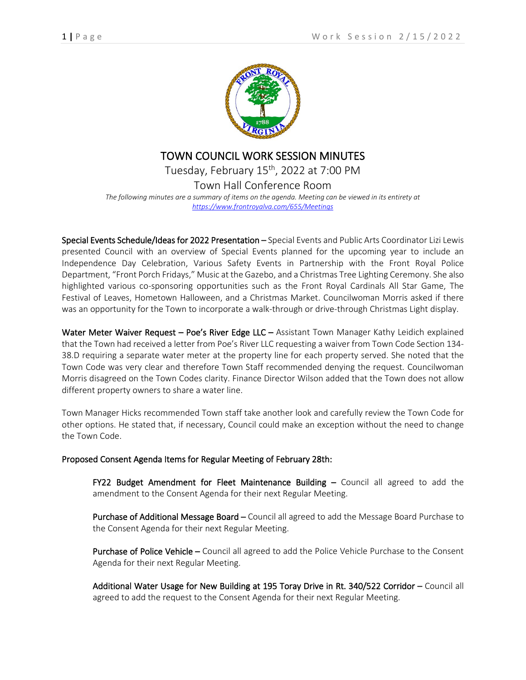

## TOWN COUNCIL WORK SESSION MINUTES Tuesday, February 15<sup>th</sup>, 2022 at 7:00 PM Town Hall Conference Room *The following minutes are a summary of items on the agenda. Meeting can be viewed in its entirety at <https://www.frontroyalva.com/655/Meetings>*

Special Events Schedule/Ideas for 2022 Presentation – Special Events and Public Arts Coordinator Lizi Lewis presented Council with an overview of Special Events planned for the upcoming year to include an Independence Day Celebration, Various Safety Events in Partnership with the Front Royal Police Department, "Front Porch Fridays," Music at the Gazebo, and a Christmas Tree Lighting Ceremony. She also highlighted various co-sponsoring opportunities such as the Front Royal Cardinals All Star Game, The Festival of Leaves, Hometown Halloween, and a Christmas Market. Councilwoman Morris asked if there was an opportunity for the Town to incorporate a walk-through or drive-through Christmas Light display.

Water Meter Waiver Request – Poe's River Edge LLC – Assistant Town Manager Kathy Leidich explained that the Town had received a letter from Poe's River LLC requesting a waiver from Town Code Section 134- 38.D requiring a separate water meter at the property line for each property served. She noted that the Town Code was very clear and therefore Town Staff recommended denying the request. Councilwoman Morris disagreed on the Town Codes clarity. Finance Director Wilson added that the Town does not allow different property owners to share a water line.

Town Manager Hicks recommended Town staff take another look and carefully review the Town Code for other options. He stated that, if necessary, Council could make an exception without the need to change the Town Code.

## Proposed Consent Agenda Items for Regular Meeting of February 28th:

FY22 Budget Amendment for Fleet Maintenance Building – Council all agreed to add the amendment to the Consent Agenda for their next Regular Meeting.

Purchase of Additional Message Board – Council all agreed to add the Message Board Purchase to the Consent Agenda for their next Regular Meeting.

Purchase of Police Vehicle – Council all agreed to add the Police Vehicle Purchase to the Consent Agenda for their next Regular Meeting.

Additional Water Usage for New Building at 195 Toray Drive in Rt. 340/522 Corridor – Council all agreed to add the request to the Consent Agenda for their next Regular Meeting.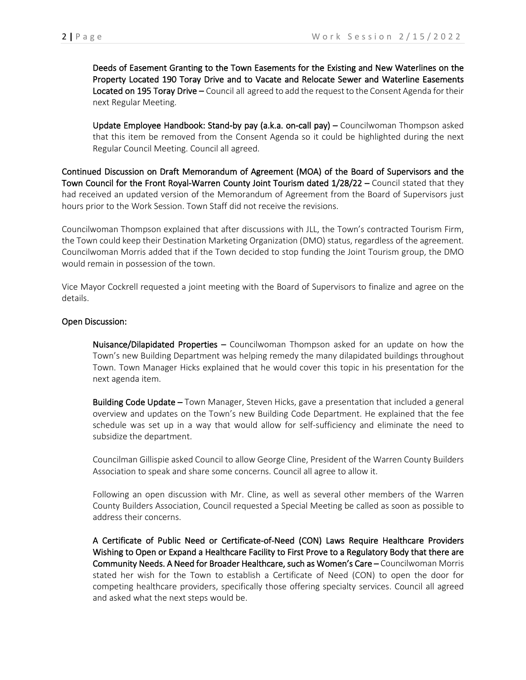Deeds of Easement Granting to the Town Easements for the Existing and New Waterlines on the Property Located 190 Toray Drive and to Vacate and Relocate Sewer and Waterline Easements Located on 195 Toray Drive – Council all agreed to add the request to the Consent Agenda for their next Regular Meeting.

 Update Employee Handbook: Stand-by pay (a.k.a. on-call pay) – Councilwoman Thompson asked that this item be removed from the Consent Agenda so it could be highlighted during the next Regular Council Meeting. Council all agreed.

Continued Discussion on Draft Memorandum of Agreement (MOA) of the Board of Supervisors and the Town Council for the Front Royal-Warren County Joint Tourism dated 1/28/22 – Council stated that they had received an updated version of the Memorandum of Agreement from the Board of Supervisors just hours prior to the Work Session. Town Staff did not receive the revisions.

Councilwoman Thompson explained that after discussions with JLL, the Town's contracted Tourism Firm, the Town could keep their Destination Marketing Organization (DMO) status, regardless of the agreement. Councilwoman Morris added that if the Town decided to stop funding the Joint Tourism group, the DMO would remain in possession of the town.

Vice Mayor Cockrell requested a joint meeting with the Board of Supervisors to finalize and agree on the details.

## Open Discussion:

 Nuisance/Dilapidated Properties – Councilwoman Thompson asked for an update on how the Town's new Building Department was helping remedy the many dilapidated buildings throughout Town. Town Manager Hicks explained that he would cover this topic in his presentation for the next agenda item.

Building Code Update – Town Manager, Steven Hicks, gave a presentation that included a general overview and updates on the Town's new Building Code Department. He explained that the fee schedule was set up in a way that would allow for self-sufficiency and eliminate the need to subsidize the department.

Councilman Gillispie asked Council to allow George Cline, President of the Warren County Builders Association to speak and share some concerns. Council all agree to allow it.

Following an open discussion with Mr. Cline, as well as several other members of the Warren County Builders Association, Council requested a Special Meeting be called as soon as possible to address their concerns.

 A Certificate of Public Need or Certificate-of-Need (CON) Laws Require Healthcare Providers Wishing to Open or Expand a Healthcare Facility to First Prove to a Regulatory Body that there are Community Needs. A Need for Broader Healthcare, such as Women's Care – Councilwoman Morris stated her wish for the Town to establish a Certificate of Need (CON) to open the door for competing healthcare providers, specifically those offering specialty services. Council all agreed and asked what the next steps would be.